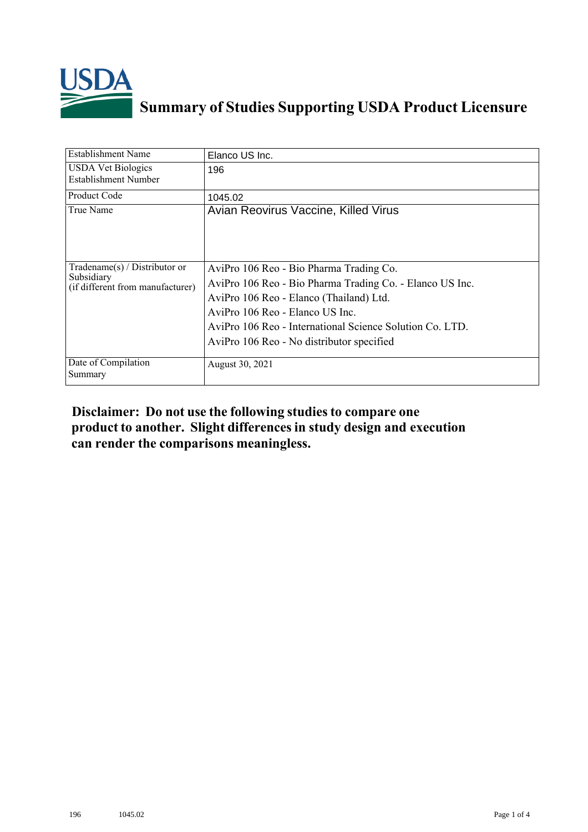

## **Summary of Studies Supporting USDA Product Licensure**

| <b>Establishment Name</b>                                                         | Elanco US Inc.                                                                                                                                                                                                                                                                             |
|-----------------------------------------------------------------------------------|--------------------------------------------------------------------------------------------------------------------------------------------------------------------------------------------------------------------------------------------------------------------------------------------|
| <b>USDA Vet Biologics</b><br>Establishment Number                                 | 196                                                                                                                                                                                                                                                                                        |
| <b>Product Code</b>                                                               | 1045.02                                                                                                                                                                                                                                                                                    |
| True Name                                                                         | Avian Reovirus Vaccine, Killed Virus                                                                                                                                                                                                                                                       |
| $Tradename(s) / Distributor$ or<br>Subsidiary<br>(if different from manufacturer) | AviPro 106 Reo - Bio Pharma Trading Co.<br>AviPro 106 Reo - Bio Pharma Trading Co. - Elanco US Inc.<br>AviPro 106 Reo - Elanco (Thailand) Ltd.<br>AviPro 106 Reo - Elanco US Inc.<br>AviPro 106 Reo - International Science Solution Co. LTD.<br>AviPro 106 Reo - No distributor specified |
| Date of Compilation<br>Summary                                                    | August 30, 2021                                                                                                                                                                                                                                                                            |

## **Disclaimer: Do not use the following studiesto compare one product to another. Slight differencesin study design and execution can render the comparisons meaningless.**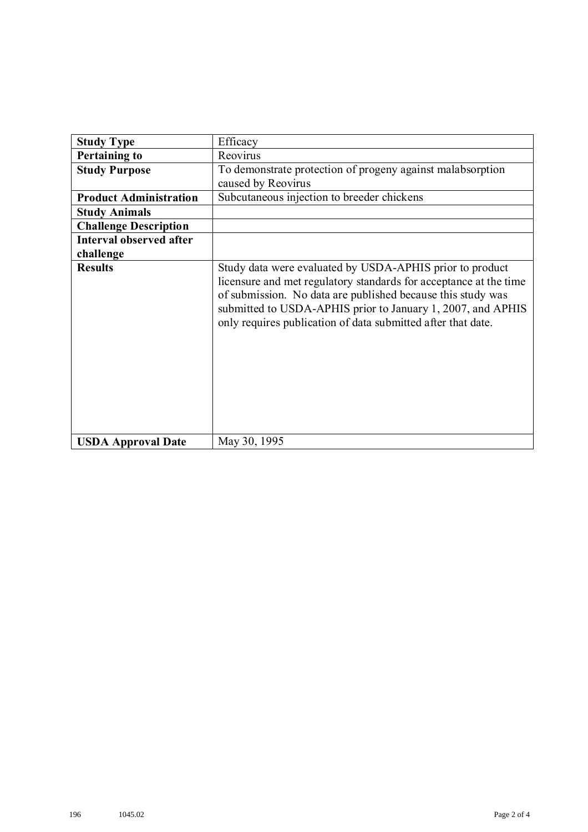| <b>Study Type</b>              | Efficacy                                                                                                                                                                                                                                                                                                                    |
|--------------------------------|-----------------------------------------------------------------------------------------------------------------------------------------------------------------------------------------------------------------------------------------------------------------------------------------------------------------------------|
| <b>Pertaining to</b>           | Reovirus                                                                                                                                                                                                                                                                                                                    |
| <b>Study Purpose</b>           | To demonstrate protection of progeny against malabsorption<br>caused by Reovirus                                                                                                                                                                                                                                            |
| <b>Product Administration</b>  | Subcutaneous injection to breeder chickens                                                                                                                                                                                                                                                                                  |
| <b>Study Animals</b>           |                                                                                                                                                                                                                                                                                                                             |
| <b>Challenge Description</b>   |                                                                                                                                                                                                                                                                                                                             |
| <b>Interval observed after</b> |                                                                                                                                                                                                                                                                                                                             |
| challenge                      |                                                                                                                                                                                                                                                                                                                             |
| <b>Results</b>                 | Study data were evaluated by USDA-APHIS prior to product<br>licensure and met regulatory standards for acceptance at the time<br>of submission. No data are published because this study was<br>submitted to USDA-APHIS prior to January 1, 2007, and APHIS<br>only requires publication of data submitted after that date. |
| <b>USDA Approval Date</b>      | May 30, 1995                                                                                                                                                                                                                                                                                                                |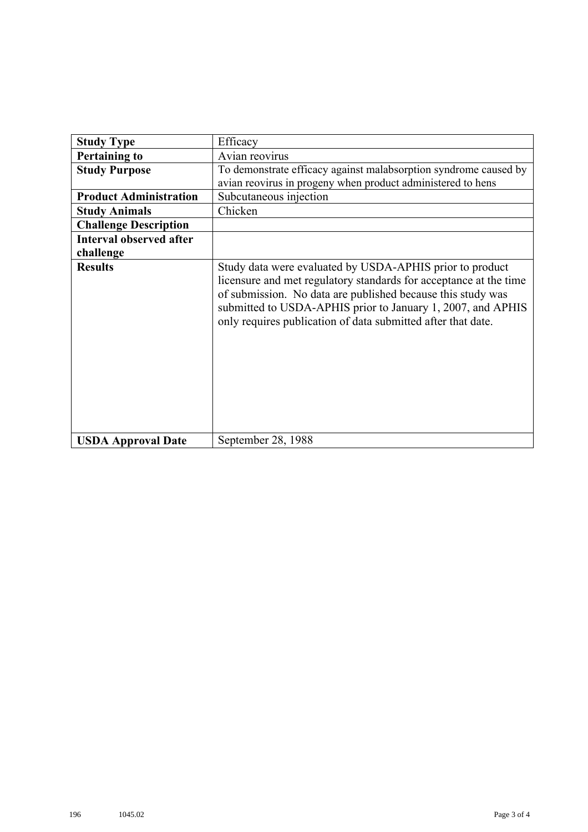| <b>Study Type</b>              | Efficacy                                                                                                                                                                                                                                                                                                                    |
|--------------------------------|-----------------------------------------------------------------------------------------------------------------------------------------------------------------------------------------------------------------------------------------------------------------------------------------------------------------------------|
| <b>Pertaining to</b>           | Avian reovirus                                                                                                                                                                                                                                                                                                              |
| <b>Study Purpose</b>           | To demonstrate efficacy against malabsorption syndrome caused by                                                                                                                                                                                                                                                            |
|                                | avian reovirus in progeny when product administered to hens                                                                                                                                                                                                                                                                 |
| <b>Product Administration</b>  | Subcutaneous injection                                                                                                                                                                                                                                                                                                      |
| <b>Study Animals</b>           | Chicken                                                                                                                                                                                                                                                                                                                     |
| <b>Challenge Description</b>   |                                                                                                                                                                                                                                                                                                                             |
| <b>Interval observed after</b> |                                                                                                                                                                                                                                                                                                                             |
| challenge                      |                                                                                                                                                                                                                                                                                                                             |
| <b>Results</b>                 | Study data were evaluated by USDA-APHIS prior to product<br>licensure and met regulatory standards for acceptance at the time<br>of submission. No data are published because this study was<br>submitted to USDA-APHIS prior to January 1, 2007, and APHIS<br>only requires publication of data submitted after that date. |
| <b>USDA Approval Date</b>      | September 28, 1988                                                                                                                                                                                                                                                                                                          |